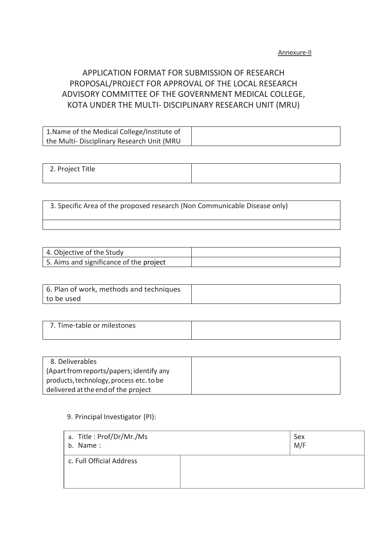# APPLICATION FORMAT FOR SUBMISSION OF RESEARCH PROPOSAL/PROJECT FOR APPROVAL OF THE LOCAL RESEARCH ADVISORY COMMITTEE OF THE GOVERNMENT MEDICAL COLLEGE, KOTA UNDER THE MULTI- DISCIPLINARY RESEARCH UNIT (MRU)

| 1. Name of the Medical College/Institute of |  |
|---------------------------------------------|--|
| the Multi- Disciplinary Research Unit (MRU  |  |

2. Project Title

3. Specific Area of the proposed research (Non Communicable Disease only)

| 4. Objective of the Study               |  |
|-----------------------------------------|--|
| 5. Aims and significance of the project |  |

| 6. Plan of work, methods and techniques |  |
|-----------------------------------------|--|
| to be used                              |  |

| 7. Time-table or milestones |  |
|-----------------------------|--|
|                             |  |

| 8. Deliverables                          |  |
|------------------------------------------|--|
| (Apart from reports/papers; identify any |  |
| products, technology, process etc. to be |  |
| delivered at the end of the project      |  |

#### 9. Principal Investigator (PI):

| a. Title: Prof/Dr/Mr./Ms<br>b. Name: | Sex<br>M/F |
|--------------------------------------|------------|
| c. Full Official Address             |            |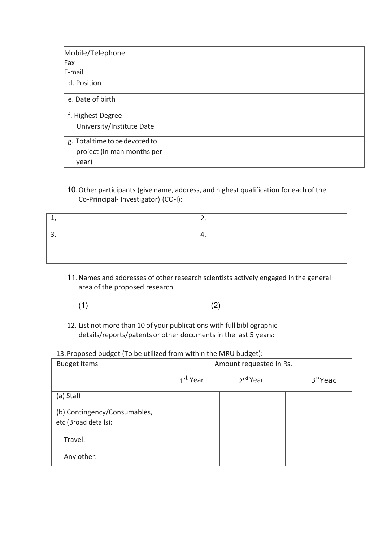| Mobile/Telephone               |  |
|--------------------------------|--|
| Fax                            |  |
| E-mail                         |  |
| d. Position                    |  |
| e. Date of birth               |  |
| f. Highest Degree              |  |
| University/Institute Date      |  |
| g. Total time to be devoted to |  |
| project (in man months per     |  |
| year)                          |  |

### 10.Other participants (give name, address, and highest qualification for each of the Co-Principal- Investigator) (CO-I):

| - - |
|-----|
|     |
|     |

11.Names and addresses of other research scientists actively engaged in the general area of the proposed research

12. List not more than 10 of your publications with full bibliographic details/reports/patents or other documents in the last 5 years:

#### 13.Proposed budget (To be utilized from within the MRU budget):

| <b>Budget items</b>                                  | Amount requested in Rs. |                      |        |
|------------------------------------------------------|-------------------------|----------------------|--------|
|                                                      | 1 <sup>t</sup> Year     | 2' <sup>d</sup> Year | 3"Yeac |
| (a) Staff                                            |                         |                      |        |
| (b) Contingency/Consumables,<br>etc (Broad details): |                         |                      |        |
| Travel:                                              |                         |                      |        |
| Any other:                                           |                         |                      |        |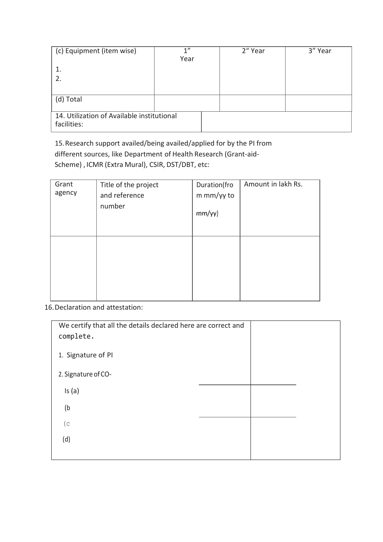| (c) Equipment (item wise)                                 | 1"<br>Year | 2" Year | 3" Year |
|-----------------------------------------------------------|------------|---------|---------|
|                                                           |            |         |         |
| 2.                                                        |            |         |         |
|                                                           |            |         |         |
| (d) Total                                                 |            |         |         |
|                                                           |            |         |         |
| 14. Utilization of Available institutional<br>facilities: |            |         |         |

15.Research support availed/being availed/applied for by the PI from different sources, like Department of Health Research (Grant-aid-Scheme) , ICMR (Extra Mural), CSIR, DST/DBT, etc:

| Grant<br>agency | Title of the project<br>and reference<br>number | Duration(fro<br>m mm/yy to<br>mm/yy) | Amount in lakh Rs. |
|-----------------|-------------------------------------------------|--------------------------------------|--------------------|
|                 |                                                 |                                      |                    |

16.Declaration and attestation:

| We certify that all the details declared here are correct and<br>complete. |  |  |  |
|----------------------------------------------------------------------------|--|--|--|
| 1. Signature of PI                                                         |  |  |  |
| 2. Signature of CO-                                                        |  |  |  |
| Is(a)                                                                      |  |  |  |
| (b)                                                                        |  |  |  |
| (c <sub>o</sub> )                                                          |  |  |  |
| (d)                                                                        |  |  |  |
|                                                                            |  |  |  |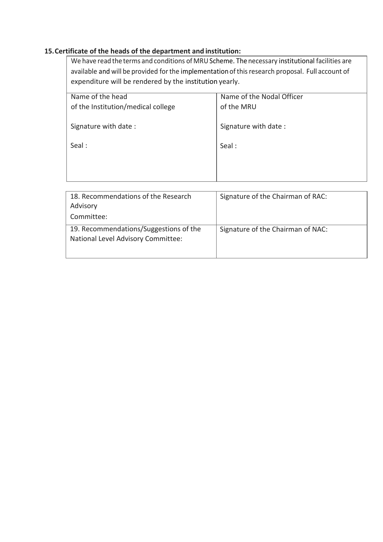### **15.Certificate of the heads of the department and institution:**

We have read the terms and conditions of MRU Scheme. The necessary institutional facilities are available and will be provided for the implementation of this research proposal. Full account of expenditure will be rendered by the institution yearly.

| Name of the head                   | Name of the Nodal Officer |
|------------------------------------|---------------------------|
| of the Institution/medical college | of the MRU                |
|                                    |                           |
| Signature with date:               | Signature with date:      |
| Seal:                              | Seal:                     |
|                                    |                           |
|                                    |                           |
|                                    |                           |
|                                    |                           |

| 18. Recommendations of the Research                                          | Signature of the Chairman of RAC: |
|------------------------------------------------------------------------------|-----------------------------------|
| Advisory                                                                     |                                   |
| Committee:                                                                   |                                   |
| 19. Recommendations/Suggestions of the<br>National Level Advisory Committee: | Signature of the Chairman of NAC: |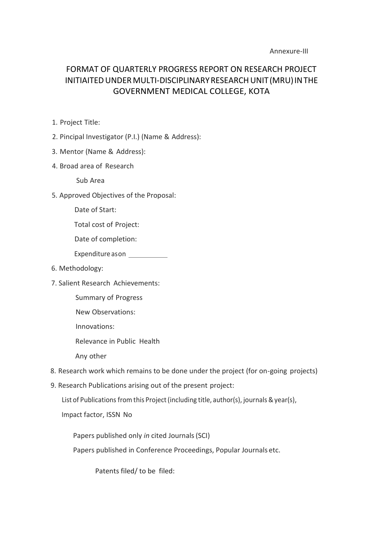#### Annexure-III

# FORMAT OF QUARTERLY PROGRESS REPORT ON RESEARCH PROJECT INITIAITEDUNDERMULTI-DISCIPLINARYRESEARCHUNIT(MRU)INTHE GOVERNMENT MEDICAL COLLEGE, KOTA

- 1. Project Title:
- 2. Pincipal Investigator (P.I.) (Name & Address):
- 3. Mentor (Name & Address):
- 4. Broad area of Research

Sub Area

- 5. Approved Objectives of the Proposal:
	- Date of Start:

Total cost of Project:

Date of completion:

Expenditure ason \_\_\_\_\_\_\_\_\_\_\_\_\_

- 6. Methodology:
- 7. Salient Research Achievements:

Summary of Progress

New Observations:

Innovations:

Relevance in Public Health

Any other

- 8. Research work which remains to be done under the project (for on-going projects)
- 9. Research Publications arising out of the present project:

List of Publications from this Project (including title, author(s), journals & year(s),

Impact factor, ISSN No

Papers published only *in* cited Journals(SCI) Papers published in Conference Proceedings, Popular Journals etc.

Patents filed/ to be filed: